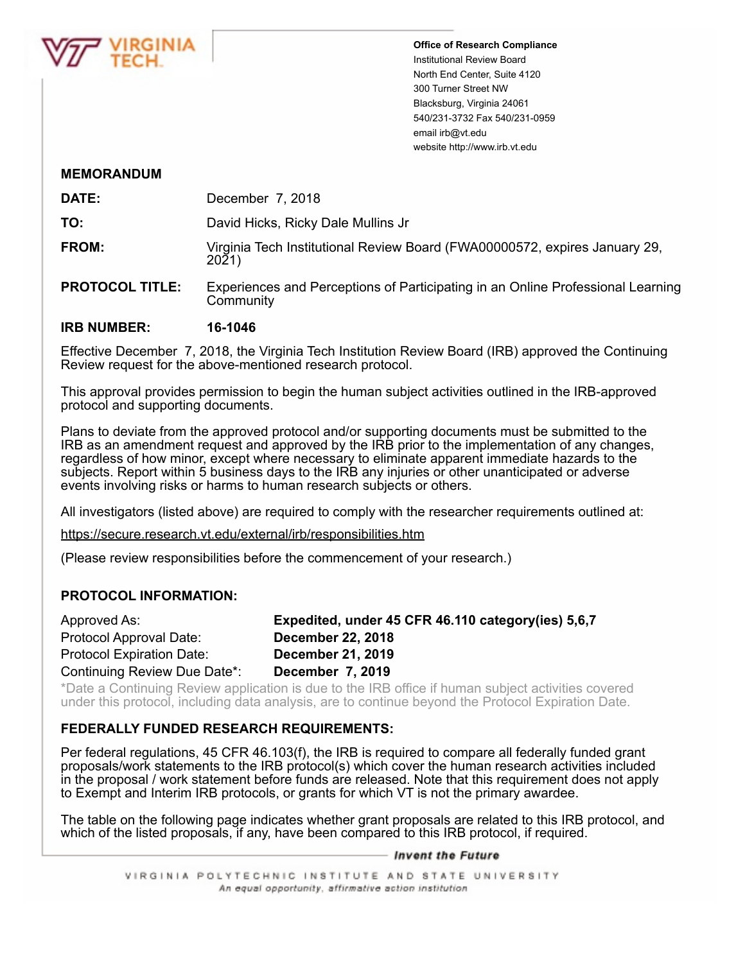

**Office of Research Compliance** Institutional Review Board North End Center, Suite 4120 300 Turner Street NW Blacksburg, Virginia 24061 540/231-3732 Fax 540/231-0959 email irb@vt.edu website http://www.irb.vt.edu

#### **MEMORANDUM**

| DATE: | December 7, 2018                                                                    |
|-------|-------------------------------------------------------------------------------------|
| TO:   | David Hicks, Ricky Dale Mullins Jr                                                  |
| FROM: | Virginia Tech Institutional Review Board (FWA00000572, expires January 29,<br>2021) |

**PROTOCOL TITLE:** Experiences and Perceptions of Participating in an Online Professional Learning **Community** 

### **IRB NUMBER: 16-1046**

Effective December 7, 2018, the Virginia Tech Institution Review Board (IRB) approved the Continuing Review request for the above-mentioned research protocol.

This approval provides permission to begin the human subject activities outlined in the IRB-approved protocol and supporting documents.

Plans to deviate from the approved protocol and/or supporting documents must be submitted to the IRB as an amendment request and approved by the IRB prior to the implementation of any changes, regardless of how minor, except where necessary to eliminate apparent immediate hazards to the subjects. Report within 5 business days to the IRB any injuries or other unanticipated or adverse events involving risks or harms to human research subjects or others.

All investigators (listed above) are required to comply with the researcher requirements outlined at:

https://secure.research.vt.edu/external/irb/responsibilities.htm

(Please review responsibilities before the commencement of your research.)

# **PROTOCOL INFORMATION:**

| Approved As:                     | Expedited, under 45 CFR 46.110 category (ies) 5,6,7 |
|----------------------------------|-----------------------------------------------------|
| Protocol Approval Date:          | <b>December 22, 2018</b>                            |
| <b>Protocol Expiration Date:</b> | <b>December 21, 2019</b>                            |
| Continuing Review Due Date*:     | December 7, 2019                                    |

\*Date a Continuing Review application is due to the IRB office if human subject activities covered under this protocol, including data analysis, are to continue beyond the Protocol Expiration Date.

# **FEDERALLY FUNDED RESEARCH REQUIREMENTS:**

Per federal regulations, 45 CFR 46.103(f), the IRB is required to compare all federally funded grant proposals/work statements to the IRB protocol(s) which cover the human research activities included in the proposal / work statement before funds are released. Note that this requirement does not apply to Exempt and Interim IRB protocols, or grants for which VT is not the primary awardee.

The table on the following page indicates whether grant proposals are related to this IRB protocol, and which of the listed proposals, if any, have been compared to this IRB protocol, if required.

#### — Invent the Future